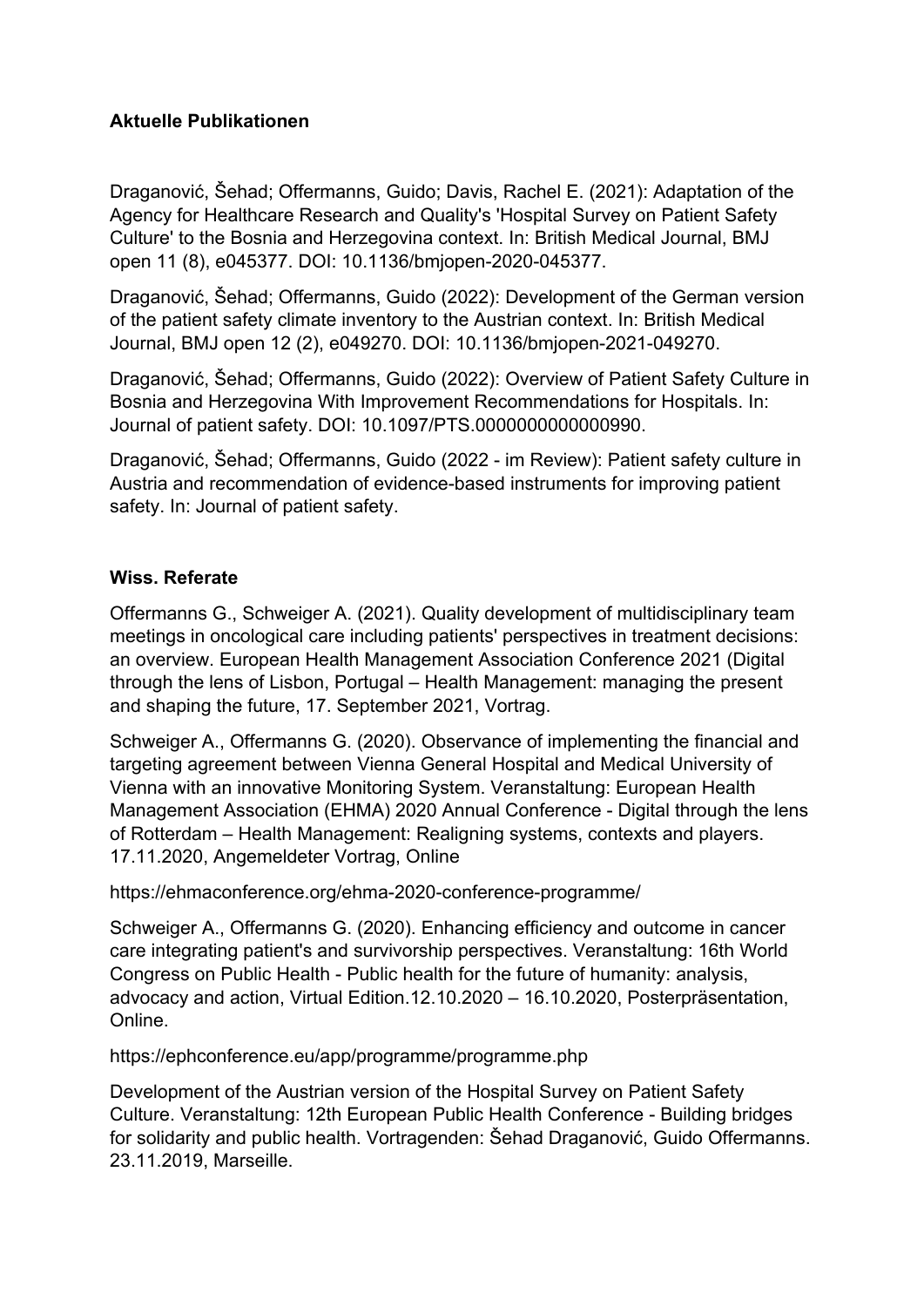## **Aktuelle Publikationen**

Draganović, Šehad; Offermanns, Guido; Davis, Rachel E. (2021): Adaptation of the Agency for Healthcare Research and Quality's 'Hospital Survey on Patient Safety Culture' to the Bosnia and Herzegovina context. In: British Medical Journal, BMJ open 11 (8), e045377. DOI: 10.1136/bmjopen-2020-045377.

Draganović, Šehad; Offermanns, Guido (2022): Development of the German version of the patient safety climate inventory to the Austrian context. In: British Medical Journal, BMJ open 12 (2), e049270. DOI: 10.1136/bmjopen-2021-049270.

Draganović, Šehad; Offermanns, Guido (2022): Overview of Patient Safety Culture in Bosnia and Herzegovina With Improvement Recommendations for Hospitals. In: Journal of patient safety. DOI: 10.1097/PTS.0000000000000990.

Draganović, Šehad; Offermanns, Guido (2022 - im Review): Patient safety culture in Austria and recommendation of evidence-based instruments for improving patient safety. In: Journal of patient safety.

## **Wiss. Referate**

Offermanns G., Schweiger A. (2021). Quality development of multidisciplinary team meetings in oncological care including patients' perspectives in treatment decisions: an overview. European Health Management Association Conference 2021 (Digital through the lens of Lisbon, Portugal – Health Management: managing the present and shaping the future, 17. September 2021, Vortrag.

Schweiger A., Offermanns G. (2020). Observance of implementing the financial and targeting agreement between Vienna General Hospital and Medical University of Vienna with an innovative Monitoring System. Veranstaltung: European Health Management Association (EHMA) 2020 Annual Conference - Digital through the lens of Rotterdam – Health Management: Realigning systems, contexts and players. 17.11.2020, Angemeldeter Vortrag, Online

https://ehmaconference.org/ehma-2020-conference-programme/

Schweiger A., Offermanns G. (2020). Enhancing efficiency and outcome in cancer care integrating patient's and survivorship perspectives. Veranstaltung: 16th World Congress on Public Health - Public health for the future of humanity: analysis, advocacy and action, Virtual Edition.12.10.2020 – 16.10.2020, Posterpräsentation, Online.

https://ephconference.eu/app/programme/programme.php

Development of the Austrian version of the Hospital Survey on Patient Safety Culture. Veranstaltung: 12th European Public Health Conference - Building bridges for solidarity and public health. Vortragenden: Šehad Draganović, Guido Offermanns. 23.11.2019, Marseille.